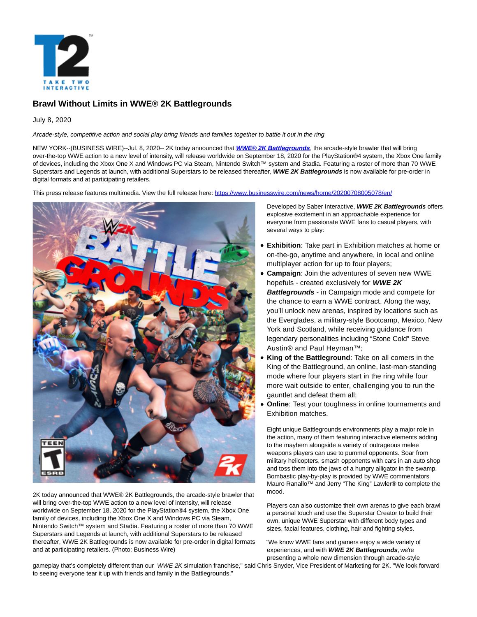

# **Brawl Without Limits in WWE® 2K Battlegrounds**

July 8, 2020

Arcade-style, competitive action and social play bring friends and families together to battle it out in the ring

NEW YORK--(BUSINESS WIRE)--Jul. 8, 2020-- 2K today announced that **[WWE® 2K Battlegrounds](https://cts.businesswire.com/ct/CT?id=smartlink&url=https%3A%2F%2Fwwe.2k.com%2Fbattlegrounds%2F&esheet=52246378&newsitemid=20200708005078&lan=en-US&anchor=WWE%26%23174%3B+2K+Battlegrounds&index=1&md5=493abdc7912dcf2bcc1d7cc78529bccd)**, the arcade-style brawler that will bring over-the-top WWE action to a new level of intensity, will release worldwide on September 18, 2020 for the PlayStation®4 system, the Xbox One family of devices, including the Xbox One X and Windows PC via Steam, Nintendo Switch™ system and Stadia. Featuring a roster of more than 70 WWE Superstars and Legends at launch, with additional Superstars to be released thereafter, **WWE 2K Battlegrounds** is now available for pre-order in digital formats and at participating retailers.

This press release features multimedia. View the full release here:<https://www.businesswire.com/news/home/20200708005078/en/>



2K today announced that WWE® 2K Battlegrounds, the arcade-style brawler that will bring over-the-top WWE action to a new level of intensity, will release worldwide on September 18, 2020 for the PlayStation®4 system, the Xbox One family of devices, including the Xbox One X and Windows PC via Steam, Nintendo Switch™ system and Stadia. Featuring a roster of more than 70 WWE Superstars and Legends at launch, with additional Superstars to be released thereafter, WWE 2K Battlegrounds is now available for pre-order in digital formats and at participating retailers. (Photo: Business Wire)

Developed by Saber Interactive, **WWE 2K Battlegrounds** offers explosive excitement in an approachable experience for everyone from passionate WWE fans to casual players, with several ways to play:

- **Exhibition**: Take part in Exhibition matches at home or on-the-go, anytime and anywhere, in local and online multiplayer action for up to four players;
- **Campaign**: Join the adventures of seven new WWE hopefuls - created exclusively for **WWE 2K Battlegrounds** - in Campaign mode and compete for the chance to earn a WWE contract. Along the way, you'll unlock new arenas, inspired by locations such as the Everglades, a military-style Bootcamp, Mexico, New York and Scotland, while receiving guidance from legendary personalities including "Stone Cold" Steve Austin® and Paul Heyman™;
- **King of the Battleground**: Take on all comers in the King of the Battleground, an online, last-man-standing mode where four players start in the ring while four more wait outside to enter, challenging you to run the gauntlet and defeat them all;
- **Online:** Test your toughness in online tournaments and Exhibition matches.

Eight unique Battlegrounds environments play a major role in the action, many of them featuring interactive elements adding to the mayhem alongside a variety of outrageous melee weapons players can use to pummel opponents. Soar from military helicopters, smash opponents with cars in an auto shop and toss them into the jaws of a hungry alligator in the swamp. Bombastic play-by-play is provided by WWE commentators Mauro Ranallo™ and Jerry "The King" Lawler® to complete the mood.

Players can also customize their own arenas to give each brawl a personal touch and use the Superstar Creator to build their own, unique WWE Superstar with different body types and sizes, facial features, clothing, hair and fighting styles.

"We know WWE fans and gamers enjoy a wide variety of experiences, and with **WWE 2K Battlegrounds**, we're presenting a whole new dimension through arcade-style

gameplay that's completely different than our WWE 2K simulation franchise," said Chris Snyder, Vice President of Marketing for 2K. "We look forward to seeing everyone tear it up with friends and family in the Battlegrounds."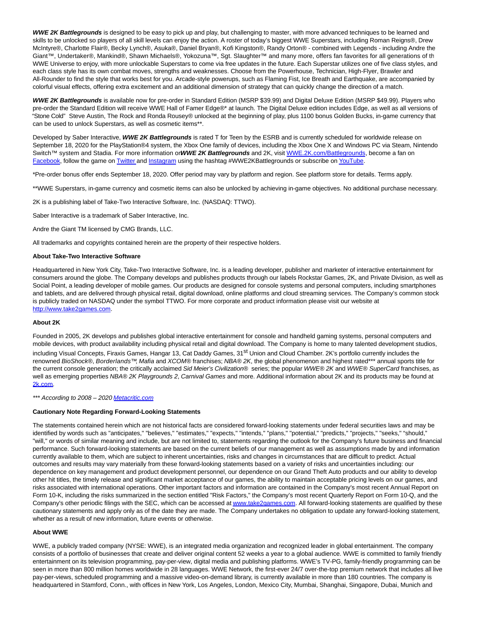**WWE 2K Battlegrounds** is designed to be easy to pick up and play, but challenging to master, with more advanced techniques to be learned and skills to be unlocked so players of all skill levels can enjoy the action. A roster of today's biggest WWE Superstars, including Roman Reigns®, Drew McIntyre®, Charlotte Flair®, Becky Lynch®, Asuka®, Daniel Bryan®, Kofi Kingston®, Randy Orton® - combined with Legends - including Andre the Giant™, Undertaker®, Mankind®, Shawn Michaels®, Yokozuna™, Sgt. Slaughter™ and many more, offers fan favorites for all generations of th WWE Universe to enjoy, with more unlockable Superstars to come via free updates in the future. Each Superstar utilizes one of five class styles, and each class style has its own combat moves, strengths and weaknesses. Choose from the Powerhouse, Technician, High-Flyer, Brawler and All-Rounder to find the style that works best for you. Arcade-style powerups, such as Flaming Fist, Ice Breath and Earthquake, are accompanied by colorful visual effects, offering extra excitement and an additional dimension of strategy that can quickly change the direction of a match.

**WWE 2K Battlegrounds** is available now for pre-order in Standard Edition (MSRP \$39.99) and Digital Deluxe Edition (MSRP \$49.99). Players who pre-order the Standard Edition will receive WWE Hall of Famer Edge®\* at launch. The Digital Deluxe edition includes Edge, as well as all versions of "Stone Cold" Steve Austin, The Rock and Ronda Rousey® unlocked at the beginning of play, plus 1100 bonus Golden Bucks, in-game currency that can be used to unlock Superstars, as well as cosmetic items\*\*.

Developed by Saber Interactive, **WWE 2K Battlegrounds** is rated T for Teen by the ESRB and is currently scheduled for worldwide release on September 18, 2020 for the PlayStation®4 system, the Xbox One family of devices, including the Xbox One X and Windows PC via Steam, Nintendo Switch™ system and Stadia. For more information on*WWE 2K Battlegrounds* and 2K, visit [WWE.2K.com/Battlegrounds,](https://cts.businesswire.com/ct/CT?id=smartlink&url=https%3A%2F%2Fwwe.2k.com%2Fbattlegrounds%2F&esheet=52246378&newsitemid=20200708005078&lan=en-US&anchor=WWE.2K.com%2FBattlegrounds&index=2&md5=f654af5feb865277063c2b20ca7a23cf) become a fan on [Facebook,](https://cts.businesswire.com/ct/CT?id=smartlink&url=https%3A%2F%2Fwww.facebook.com%2FWWE2KBattlegrounds%2F&esheet=52246378&newsitemid=20200708005078&lan=en-US&anchor=Facebook&index=3&md5=ec6c5f76ded0a7bb1d1a7be728ea3e0d) follow the game on **Twitter and Instagram** using the hashtag #WWE2KBattlegrounds or subscribe o[n YouTube.](https://cts.businesswire.com/ct/CT?id=smartlink&url=https%3A%2F%2Fwww.youtube.com%2FWWEGames&esheet=52246378&newsitemid=20200708005078&lan=en-US&anchor=YouTube&index=6&md5=4eff26c74e4a26d85531545571bc4045)

\*Pre-order bonus offer ends September 18, 2020. Offer period may vary by platform and region. See platform store for details. Terms apply.

\*\*WWE Superstars, in-game currency and cosmetic items can also be unlocked by achieving in-game objectives. No additional purchase necessary.

2K is a publishing label of Take-Two Interactive Software, Inc. (NASDAQ: TTWO).

Saber Interactive is a trademark of Saber Interactive, Inc.

Andre the Giant TM licensed by CMG Brands, LLC.

All trademarks and copyrights contained herein are the property of their respective holders.

#### **About Take-Two Interactive Software**

Headquartered in New York City, Take-Two Interactive Software, Inc. is a leading developer, publisher and marketer of interactive entertainment for consumers around the globe. The Company develops and publishes products through our labels Rockstar Games, 2K, and Private Division, as well as Social Point, a leading developer of mobile games. Our products are designed for console systems and personal computers, including smartphones and tablets, and are delivered through physical retail, digital download, online platforms and cloud streaming services. The Company's common stock is publicly traded on NASDAQ under the symbol TTWO. For more corporate and product information please visit our website at [http://www.take2games.com.](https://cts.businesswire.com/ct/CT?id=smartlink&url=http%3A%2F%2Fwww.take2games.com&esheet=52246378&newsitemid=20200708005078&lan=en-US&anchor=http%3A%2F%2Fwww.take2games.com&index=7&md5=98c7b3d0d67cf7969a6042ec001cca7c)

#### **About 2K**

Founded in 2005, 2K develops and publishes global interactive entertainment for console and handheld gaming systems, personal computers and mobile devices, with product availability including physical retail and digital download. The Company is home to many talented development studios, including Visual Concepts, Firaxis Games, Hangar 13, Cat Daddy Games, 31<sup>st</sup> Union and Cloud Chamber. 2K's portfolio currently includes the renowned BioShock®, Borderlands™, Mafia and XCOM® franchises; NBA® 2K, the global phenomenon and highest rated\*\*\* annual sports title for the current console generation; the critically acclaimed Sid Meier's Civilization® series; the popular WWE® 2K and WWE® SuperCard franchises, as well as emerging properties NBA® 2K Playgrounds 2, Carnival Games and more. Additional information about 2K and its products may be found at [2k.com.](https://cts.businesswire.com/ct/CT?id=smartlink&url=http%3A%2F%2Fwww.2k.com%2F&esheet=52246378&newsitemid=20200708005078&lan=en-US&anchor=2k.com&index=8&md5=0c5ff979177346fad3092017b5d6dc60)

\*\*\* According to 2008 - 2020 [Metacritic.com](https://cts.businesswire.com/ct/CT?id=smartlink&url=https%3A%2F%2Fwww.metacritic.com%2F&esheet=52246378&newsitemid=20200708005078&lan=en-US&anchor=Metacritic.com&index=9&md5=58ad87fbec3ea319297ca9312a9f104f)

#### **Cautionary Note Regarding Forward-Looking Statements**

The statements contained herein which are not historical facts are considered forward-looking statements under federal securities laws and may be identified by words such as "anticipates," "believes," "estimates," "expects," "intends," "plans," "potential," "predicts," "projects," "seeks," "should," "will," or words of similar meaning and include, but are not limited to, statements regarding the outlook for the Company's future business and financial performance. Such forward-looking statements are based on the current beliefs of our management as well as assumptions made by and information currently available to them, which are subject to inherent uncertainties, risks and changes in circumstances that are difficult to predict. Actual outcomes and results may vary materially from these forward-looking statements based on a variety of risks and uncertainties including: our dependence on key management and product development personnel, our dependence on our Grand Theft Auto products and our ability to develop other hit titles, the timely release and significant market acceptance of our games, the ability to maintain acceptable pricing levels on our games, and risks associated with international operations. Other important factors and information are contained in the Company's most recent Annual Report on Form 10-K, including the risks summarized in the section entitled "Risk Factors," the Company's most recent Quarterly Report on Form 10-Q, and the Company's other periodic filings with the SEC, which can be accessed a[t www.take2games.com.](https://cts.businesswire.com/ct/CT?id=smartlink&url=http%3A%2F%2Fwww.take2games.com&esheet=52246378&newsitemid=20200708005078&lan=en-US&anchor=www.take2games.com&index=10&md5=a825ac7f53966eda6c974ff9ba6696be) All forward-looking statements are qualified by these cautionary statements and apply only as of the date they are made. The Company undertakes no obligation to update any forward-looking statement, whether as a result of new information, future events or otherwise.

## **About WWE**

WWE, a publicly traded company (NYSE: WWE), is an integrated media organization and recognized leader in global entertainment. The company consists of a portfolio of businesses that create and deliver original content 52 weeks a year to a global audience. WWE is committed to family friendly entertainment on its television programming, pay-per-view, digital media and publishing platforms. WWE's TV-PG, family-friendly programming can be seen in more than 800 million homes worldwide in 28 languages. WWE Network, the first-ever 24/7 over-the-top premium network that includes all live pay-per-views, scheduled programming and a massive video-on-demand library, is currently available in more than 180 countries. The company is headquartered in Stamford, Conn., with offices in New York, Los Angeles, London, Mexico City, Mumbai, Shanghai, Singapore, Dubai, Munich and